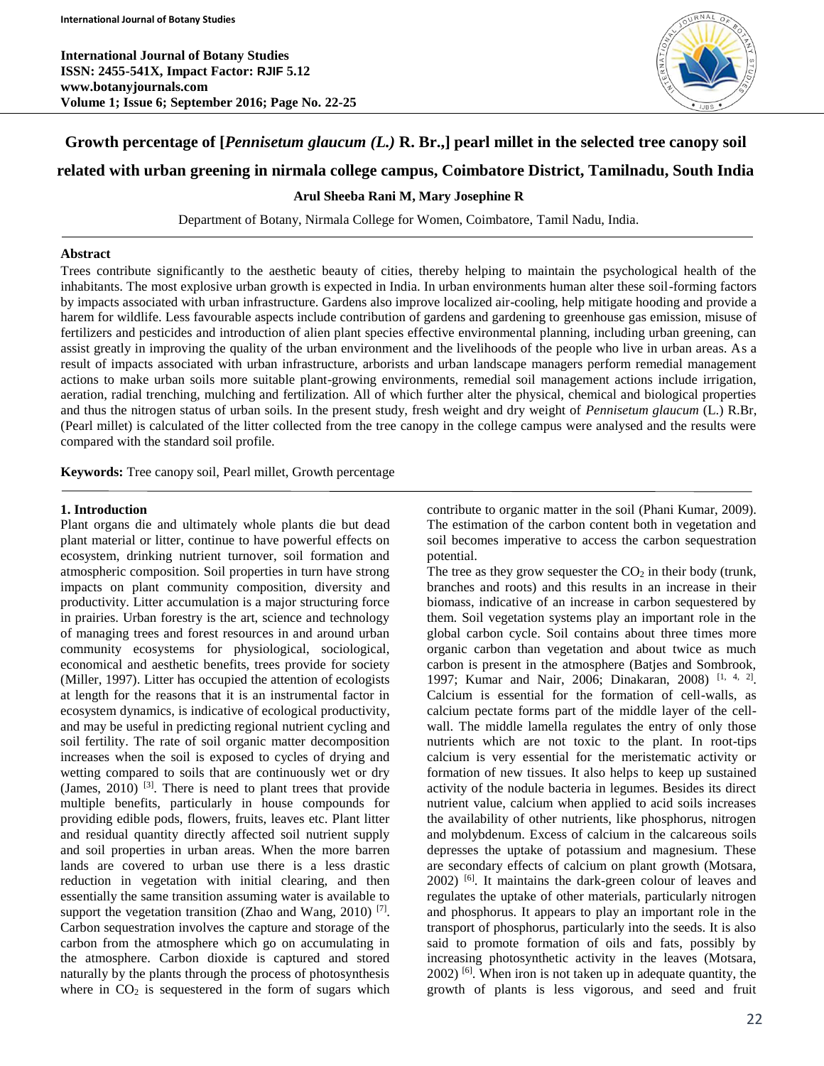

# **Growth percentage of [***Pennisetum glaucum (L.)* **R. Br.,] pearl millet in the selected tree canopy soil**

## **related with urban greening in nirmala college campus, Coimbatore District, Tamilnadu, South India**

## **Arul Sheeba Rani M, Mary Josephine R**

Department of Botany, Nirmala College for Women, Coimbatore, Tamil Nadu, India.

#### **Abstract**

Trees contribute significantly to the aesthetic beauty of cities, thereby helping to maintain the psychological health of the inhabitants. The most explosive urban growth is expected in India. In urban environments human alter these soil-forming factors by impacts associated with urban infrastructure. Gardens also improve localized air-cooling, help mitigate hooding and provide a harem for wildlife. Less favourable aspects include contribution of gardens and gardening to greenhouse gas emission, misuse of fertilizers and pesticides and introduction of alien plant species effective environmental planning, including urban greening, can assist greatly in improving the quality of the urban environment and the livelihoods of the people who live in urban areas. As a result of impacts associated with urban infrastructure, arborists and urban landscape managers perform remedial management actions to make urban soils more suitable plant-growing environments, remedial soil management actions include irrigation, aeration, radial trenching, mulching and fertilization. All of which further alter the physical, chemical and biological properties and thus the nitrogen status of urban soils. In the present study, fresh weight and dry weight of *Pennisetum glaucum* (L.) R.Br, (Pearl millet) is calculated of the litter collected from the tree canopy in the college campus were analysed and the results were compared with the standard soil profile.

**Keywords:** Tree canopy soil, Pearl millet, Growth percentage

## **1. Introduction**

Plant organs die and ultimately whole plants die but dead plant material or litter, continue to have powerful effects on ecosystem, drinking nutrient turnover, soil formation and atmospheric composition. Soil properties in turn have strong impacts on plant community composition, diversity and productivity. Litter accumulation is a major structuring force in prairies. Urban forestry is the art, science and technology of managing trees and forest resources in and around urban community ecosystems for physiological, sociological, economical and aesthetic benefits, trees provide for society (Miller, 1997). Litter has occupied the attention of ecologists at length for the reasons that it is an instrumental factor in ecosystem dynamics, is indicative of ecological productivity, and may be useful in predicting regional nutrient cycling and soil fertility. The rate of soil organic matter decomposition increases when the soil is exposed to cycles of drying and wetting compared to soils that are continuously wet or dry (James,  $2010$ )  $^{[3]}$ . There is need to plant trees that provide multiple benefits, particularly in house compounds for providing edible pods, flowers, fruits, leaves etc. Plant litter and residual quantity directly affected soil nutrient supply and soil properties in urban areas. When the more barren lands are covered to urban use there is a less drastic reduction in vegetation with initial clearing, and then essentially the same transition assuming water is available to support the vegetation transition (Zhao and Wang, 2010)<sup>[7]</sup>. Carbon sequestration involves the capture and storage of the carbon from the atmosphere which go on accumulating in the atmosphere. Carbon dioxide is captured and stored naturally by the plants through the process of photosynthesis where in  $CO<sub>2</sub>$  is sequestered in the form of sugars which

contribute to organic matter in the soil (Phani Kumar, 2009). The estimation of the carbon content both in vegetation and soil becomes imperative to access the carbon sequestration potential.

The tree as they grow sequester the  $CO<sub>2</sub>$  in their body (trunk, branches and roots) and this results in an increase in their biomass, indicative of an increase in carbon sequestered by them. Soil vegetation systems play an important role in the global carbon cycle. Soil contains about three times more organic carbon than vegetation and about twice as much carbon is present in the atmosphere (Batjes and Sombrook, 1997; Kumar and Nair, 2006; Dinakaran, 2008)<sup>[1, 4, 2]</sup>. Calcium is essential for the formation of cell-walls, as calcium pectate forms part of the middle layer of the cellwall. The middle lamella regulates the entry of only those nutrients which are not toxic to the plant. In root-tips calcium is very essential for the meristematic activity or formation of new tissues. It also helps to keep up sustained activity of the nodule bacteria in legumes. Besides its direct nutrient value, calcium when applied to acid soils increases the availability of other nutrients, like phosphorus, nitrogen and molybdenum. Excess of calcium in the calcareous soils depresses the uptake of potassium and magnesium. These are secondary effects of calcium on plant growth (Motsara, 2002) [6]. It maintains the dark-green colour of leaves and regulates the uptake of other materials, particularly nitrogen and phosphorus. It appears to play an important role in the transport of phosphorus, particularly into the seeds. It is also said to promote formation of oils and fats, possibly by increasing photosynthetic activity in the leaves (Motsara, 2002) [6] . When iron is not taken up in adequate quantity, the growth of plants is less vigorous, and seed and fruit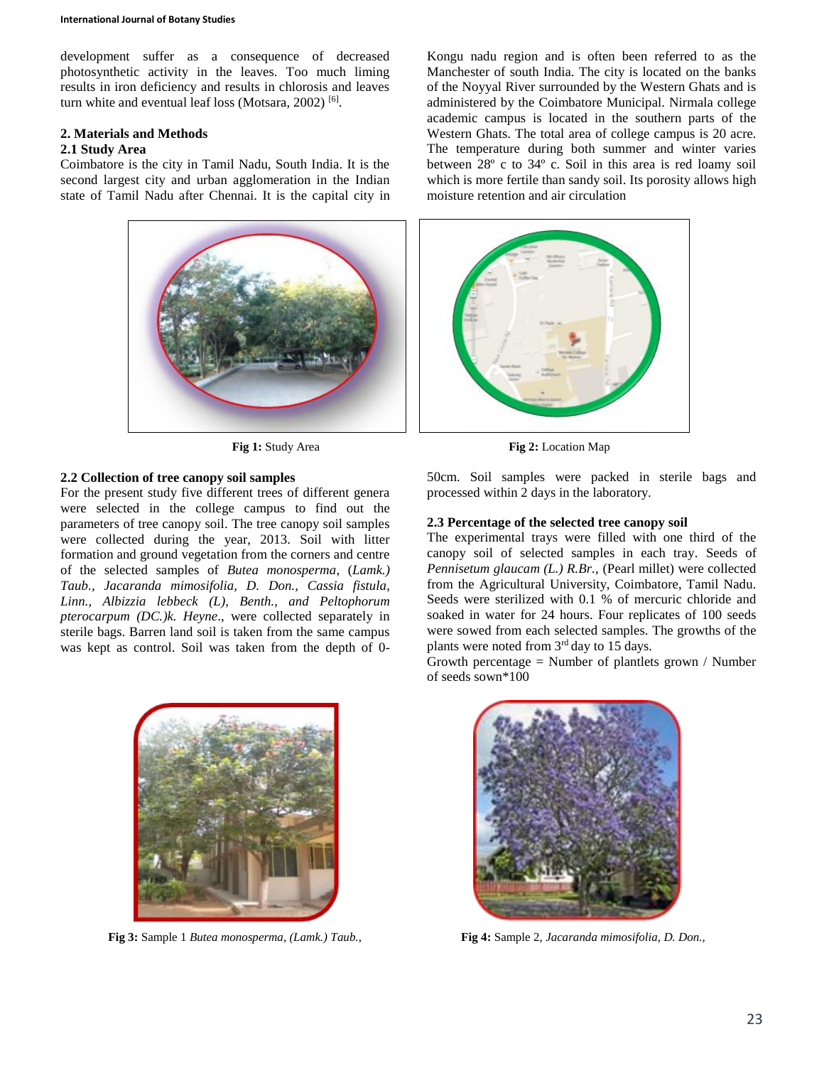development suffer as a consequence of decreased photosynthetic activity in the leaves. Too much liming results in iron deficiency and results in chlorosis and leaves turn white and eventual leaf loss (Motsara, 2002)<sup>[6]</sup>.

## **2. Materials and Methods**

#### **2.1 Study Area**

Coimbatore is the city in Tamil Nadu, South India. It is the second largest city and urban agglomeration in the Indian state of Tamil Nadu after Chennai. It is the capital city in

Kongu nadu region and is often been referred to as the Manchester of south India. The city is located on the banks of the Noyyal River surrounded by the Western Ghats and is administered by the Coimbatore Municipal. Nirmala college academic campus is located in the southern parts of the Western Ghats. The total area of college campus is 20 acre. The temperature during both summer and winter varies between 28º c to 34º c. Soil in this area is red loamy soil which is more fertile than sandy soil. Its porosity allows high moisture retention and air circulation



## **2.2 Collection of tree canopy soil samples**

For the present study five different trees of different genera were selected in the college campus to find out the parameters of tree canopy soil. The tree canopy soil samples were collected during the year, 2013. Soil with litter formation and ground vegetation from the corners and centre of the selected samples of *Butea monosperma*, (*Lamk.) Taub., Jacaranda mimosifolia, D. Don., Cassia fistula*, *Linn., Albizzia lebbeck (L), Benth., and Peltophorum pterocarpum (DC.)k. Heyne*., were collected separately in sterile bags. Barren land soil is taken from the same campus was kept as control. Soil was taken from the depth of 0-



**Fig 3:** Sample 1 *Butea monosperma, (Lamk.) Taub.,* **Fig 4:** Sample 2, *Jacaranda mimosifolia, D. Don.,*

**Fig 1:** Study Area **Fig 2:** Location Map

50cm. Soil samples were packed in sterile bags and processed within 2 days in the laboratory.

## **2.3 Percentage of the selected tree canopy soil**

The experimental trays were filled with one third of the canopy soil of selected samples in each tray. Seeds of *Pennisetum glaucam (L.) R.Br.,* (Pearl millet) were collected from the Agricultural University, Coimbatore, Tamil Nadu. Seeds were sterilized with 0.1 % of mercuric chloride and soaked in water for 24 hours. Four replicates of 100 seeds were sowed from each selected samples. The growths of the plants were noted from  $3<sup>rd</sup>$  day to 15 days.

Growth percentage  $=$  Number of plantlets grown / Number of seeds sown\*100

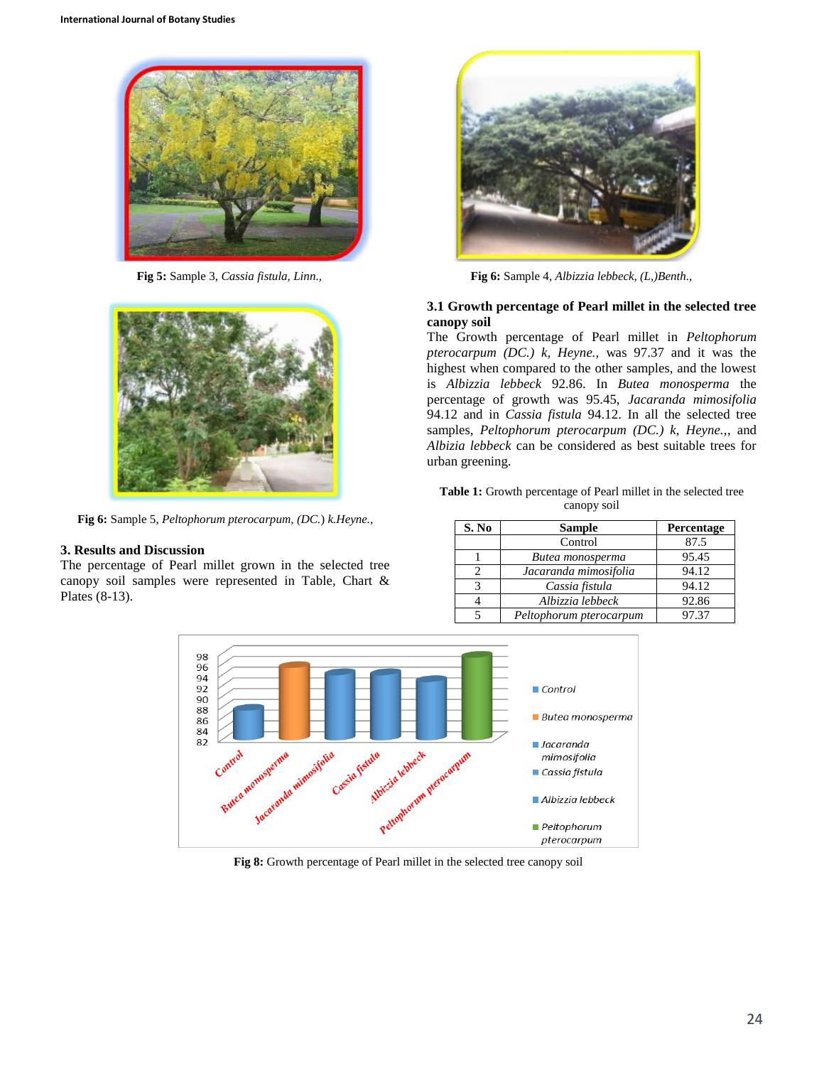



**Fig 6:** Sample 5, *Peltophorum pterocarpum, (DC.*) *k.Heyne.,*

## **3. Results and Discussion**

The percentage of Pearl millet grown in the selected tree canopy soil samples were represented in Table, Chart & Plates (8-13).



**Fig 5:** Sample 3, *Cassia fistula, Linn.,* **Fig 6:** Sample 4, *Albizzia lebbeck, (L,)Benth.,*

#### **3.1 Growth percentage of Pearl millet in the selected tree canopy soil**

The Growth percentage of Pearl millet in *Peltophorum pterocarpum (DC.) k, Heyne.,* was 97.37 and it was the highest when compared to the other samples, and the lowest is *Albizzia lebbeck* 92.86. In *Butea monosperma* the percentage of growth was 95.45, *Jacaranda mimosifolia*  94.12 and in *Cassia fistula* 94.12. In all the selected tree samples, *Peltophorum pterocarpum (DC.) k, Heyne.,*, and *Albizia lebbeck* can be considered as best suitable trees for urban greening.

| <b>Table 1:</b> Growth percentage of Pearl millet in the selected tree |
|------------------------------------------------------------------------|
| canopy soil                                                            |

| S. No | <b>Sample</b>           | Percentage |
|-------|-------------------------|------------|
|       | Control                 | 87.5       |
|       | Butea monosperma        | 95.45      |
|       | Jacaranda mimosifolia   | 94.12      |
| 3     | Cassia fistula          | 94.12      |
|       | Albizzia lebbeck        | 92.86      |
|       | Peltophorum pterocarpum | 97.37      |



**Fig 8:** Growth percentage of Pearl millet in the selected tree canopy soil